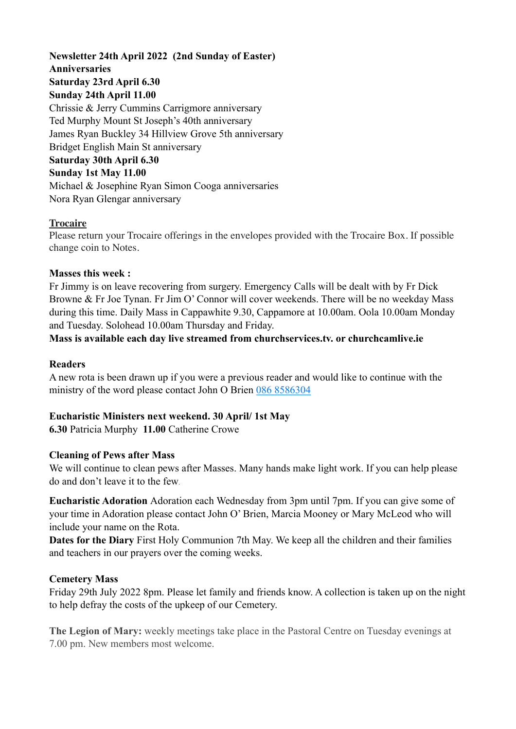# **Newsletter 24th April 2022 (2nd Sunday of Easter) Anniversaries Saturday 23rd April 6.30 Sunday 24th April 11.00**  Chrissie & Jerry Cummins Carrigmore anniversary Ted Murphy Mount St Joseph's 40th anniversary

James Ryan Buckley 34 Hillview Grove 5th anniversary Bridget English Main St anniversary **Saturday 30th April 6.30 Sunday 1st May 11.00**  Michael & Josephine Ryan Simon Cooga anniversaries Nora Ryan Glengar anniversary

# **Trocaire**

Please return your Trocaire offerings in the envelopes provided with the Trocaire Box. If possible change coin to Notes.

### **Masses this week :**

Fr Jimmy is on leave recovering from surgery. Emergency Calls will be dealt with by Fr Dick Browne & Fr Joe Tynan. Fr Jim O' Connor will cover weekends. There will be no weekday Mass during this time. Daily Mass in Cappawhite 9.30, Cappamore at 10.00am. Oola 10.00am Monday and Tuesday. Solohead 10.00am Thursday and Friday.

# **Mass is available each day live streamed from churchservices.tv. or [churchcamlive.ie](http://churchcamlive.ie)**

### **Readers**

A new rota is been drawn up if you were a previous reader and would like to continue with the ministry of the word please contact John O Brien 086 8586304

# **Eucharistic Ministers next weekend. 30 April/ 1st May**

**6.30** Patricia Murphy **11.00** Catherine Crowe

#### **Cleaning of Pews after Mass**

We will continue to clean pews after Masses. Many hands make light work. If you can help please do and don't leave it to the few.

**Eucharistic Adoration** Adoration each Wednesday from 3pm until 7pm. If you can give some of your time in Adoration please contact John O' Brien, Marcia Mooney or Mary McLeod who will include your name on the Rota.

**Dates for the Diary** First Holy Communion 7th May. We keep all the children and their families and teachers in our prayers over the coming weeks.

#### **Cemetery Mass**

Friday 29th July 2022 8pm. Please let family and friends know. A collection is taken up on the night to help defray the costs of the upkeep of our Cemetery.

**The Legion of Mary:** weekly meetings take place in the Pastoral Centre on Tuesday evenings at 7.00 pm. New members most welcome.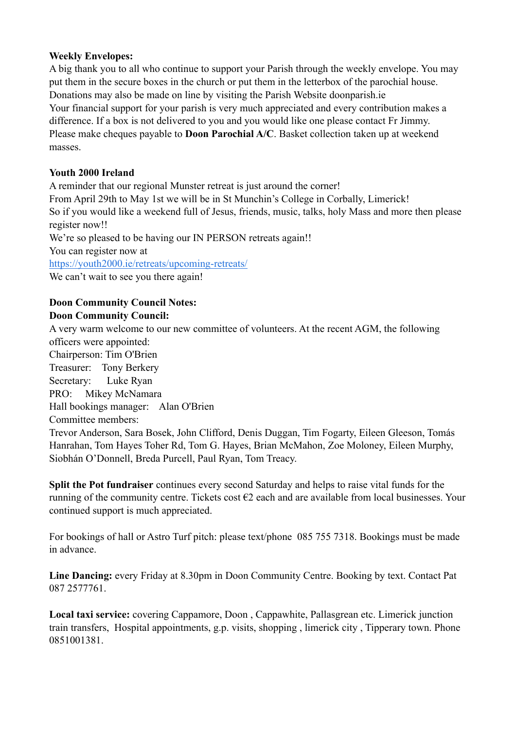#### **Weekly Envelopes:**

A big thank you to all who continue to support your Parish through the weekly envelope. You may put them in the secure boxes in the church or put them in the letterbox of the parochial house. Donations may also be made on line by visiting the Parish Website [doonparish.ie](http://doonparish.ie) Your financial support for your parish is very much appreciated and every contribution makes a difference. If a box is not delivered to you and you would like one please contact Fr Jimmy. Please make cheques payable to **Doon Parochial A/C**. Basket collection taken up at weekend masses.

### **Youth 2000 Ireland**

A reminder that our regional Munster retreat is just around the corner! From April 29th to May 1st we will be in St Munchin's College in Corbally, Limerick! So if you would like a weekend full of Jesus, friends, music, talks, holy Mass and more then please register now!! We're so pleased to be having our IN PERSON retreats again!! You can register now at [https://youth2000.ie/retreats/upcoming-retreats/](https://youth2000.ie/retreats/upcoming-retreats/?fbclid=IwAR3hrQjmGMcz_CJBfQFlA2hrNmCzS5HC6f7-AHSCiT6XWVjTilvpul2EsZY)  We can't wait to see you there again!

### **Doon Community Council Notes: Doon Community Council:**

A very warm welcome to our new committee of volunteers. At the recent AGM, the following officers were appointed: Chairperson: Tim O'Brien Treasurer: Tony Berkery Secretary: Luke Ryan PRO: Mikey McNamara Hall bookings manager: Alan O'Brien Committee members: Trevor Anderson, Sara Bosek, John Clifford, Denis Duggan, Tim Fogarty, Eileen Gleeson, Tomás Hanrahan, Tom Hayes Toher Rd, Tom G. Hayes, Brian McMahon, Zoe Moloney, Eileen Murphy, Siobhán O'Donnell, Breda Purcell, Paul Ryan, Tom Treacy.

**Split the Pot fundraiser** continues every second Saturday and helps to raise vital funds for the running of the community centre. Tickets cost  $\epsilon$ 2 each and are available from local businesses. Your continued support is much appreciated.

For bookings of hall or Astro Turf pitch: please text/phone 085 755 7318. Bookings must be made in advance.

**Line Dancing:** every Friday at 8.30pm in Doon Community Centre. Booking by text. Contact Pat 087 2577761.

**Local taxi service:** covering Cappamore, Doon , Cappawhite, Pallasgrean etc. Limerick junction train transfers, Hospital appointments, g.p. visits, shopping , limerick city , Tipperary town. Phone 0851001381.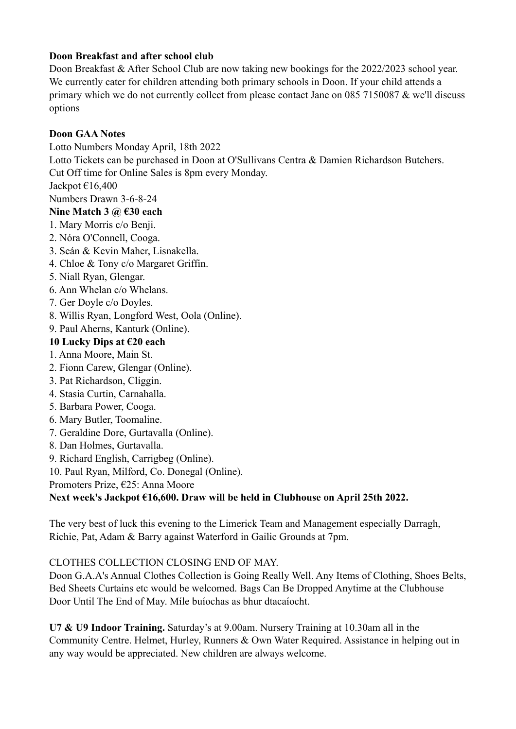### **Doon Breakfast and after school club**

Doon Breakfast & After School Club are now taking new bookings for the 2022/2023 school year. We currently cater for children attending both primary schools in Doon. If your child attends a primary which we do not currently collect from please contact Jane on 085 7150087 & we'll discuss options

### **Doon GAA Notes**

Lotto Numbers Monday April, 18th 2022

Lotto Tickets can be purchased in Doon at O'Sullivans Centra & Damien Richardson Butchers.

Cut Off time for Online Sales is 8pm every Monday.

Jackpot  $\epsilon$ 16,400

Numbers Drawn 3-6-8-24

### **Nine Match 3 @ €30 each**

- 1. Mary Morris c/o Benji.
- 2. Nóra O'Connell, Cooga.
- 3. Seán & Kevin Maher, Lisnakella.
- 4. Chloe & Tony c/o Margaret Griffin.
- 5. Niall Ryan, Glengar.
- 6. Ann Whelan c/o Whelans.
- 7. Ger Doyle c/o Doyles.
- 8. Willis Ryan, Longford West, Oola (Online).
- 9. Paul Aherns, Kanturk (Online).

### **10 Lucky Dips at €20 each**

- 1. Anna Moore, Main St.
- 2. Fionn Carew, Glengar (Online).
- 3. Pat Richardson, Cliggin.
- 4. Stasia Curtin, Carnahalla.
- 5. Barbara Power, Cooga.
- 6. Mary Butler, Toomaline.
- 7. Geraldine Dore, Gurtavalla (Online).
- 8. Dan Holmes, Gurtavalla.
- 9. Richard English, Carrigbeg (Online).
- 10. Paul Ryan, Milford, Co. Donegal (Online).
- Promoters Prize, €25: Anna Moore

# **Next week's Jackpot €16,600. Draw will be held in Clubhouse on April 25th 2022.**

The very best of luck this evening to the Limerick Team and Management especially Darragh, Richie, Pat, Adam & Barry against Waterford in Gailic Grounds at 7pm.

#### CLOTHES COLLECTION CLOSING END OF MAY.

Doon G.A.A's Annual Clothes Collection is Going Really Well. Any Items of Clothing, Shoes Belts, Bed Sheets Curtains etc would be welcomed. Bags Can Be Dropped Anytime at the Clubhouse Door Until The End of May. Míle buíochas as bhur dtacaíocht.

**U7 & U9 Indoor Training.** Saturday's at 9.00am. Nursery Training at 10.30am all in the Community Centre. Helmet, Hurley, Runners & Own Water Required. Assistance in helping out in any way would be appreciated. New children are always welcome.